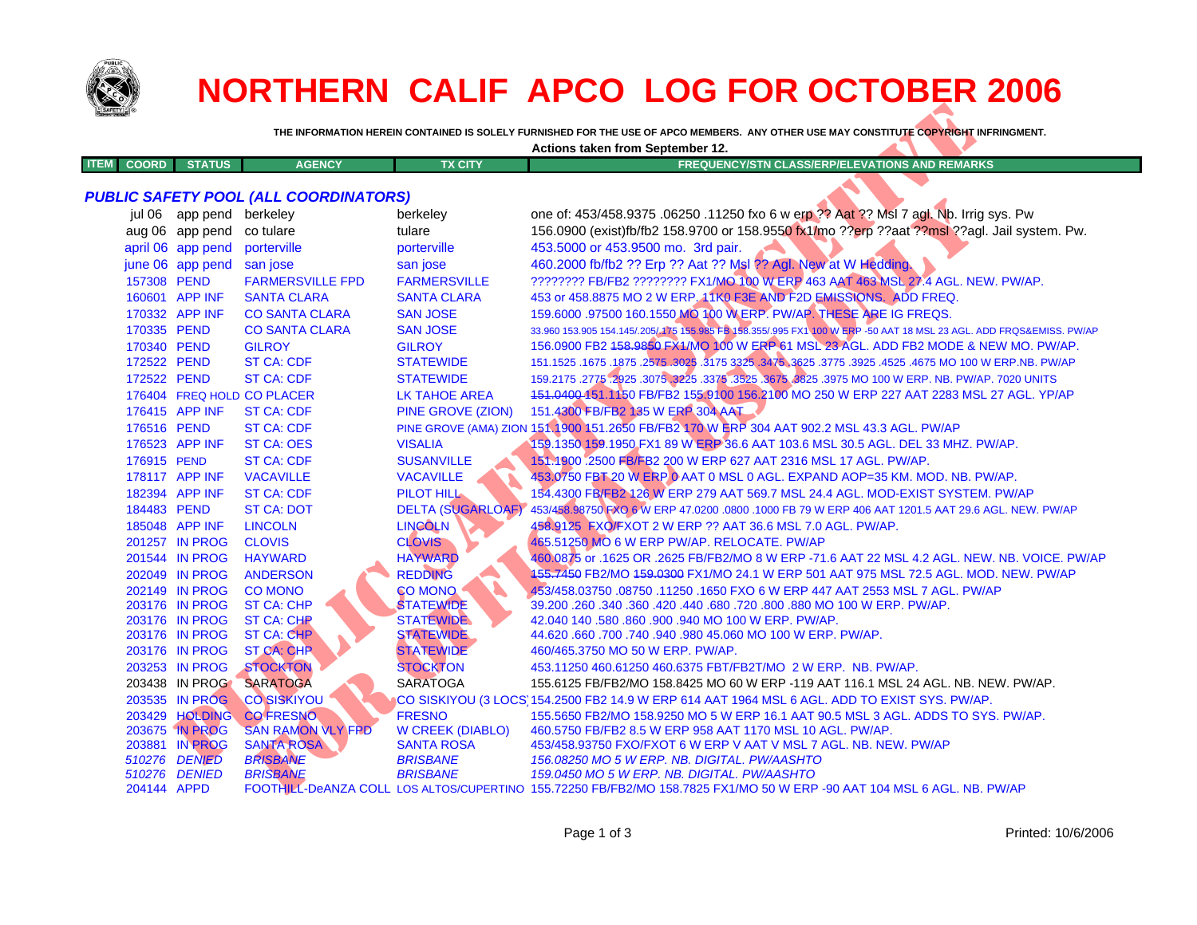

|             |              |               |               |                | Actions taken from September 12.                      |
|-------------|--------------|---------------|---------------|----------------|-------------------------------------------------------|
| <b>ITEM</b> | <b>COORD</b> | <b>STATUS</b> | <b>AGENCY</b> | <b>TX CITY</b> | <b>FREQUENCY/STN CLASS/ERP/ELEVATIONS AND REMARKS</b> |
|             |              |               |               |                |                                                       |

|                             |                          |                                              |                          | Actions taken from September 12.                                                                                       |
|-----------------------------|--------------------------|----------------------------------------------|--------------------------|------------------------------------------------------------------------------------------------------------------------|
| <b>ITEM</b><br><b>COORD</b> | <b>STATUS</b>            | <b>AGENCY</b>                                | <b>TX CITY</b>           | <b>FREQUENCY/STN CLASS/ERP/ELEVATIONS AND REMARKS</b>                                                                  |
|                             |                          |                                              |                          |                                                                                                                        |
|                             |                          | <b>PUBLIC SAFETY POOL (ALL COORDINATORS)</b> |                          |                                                                                                                        |
|                             | jul 06 app pend berkeley |                                              | berkeley                 | one of: 453/458.9375 .06250 .11250 fxo 6 w erp ?? Aat ?? Msl 7 agt. Nb. Irrig sys. Pw                                  |
|                             | aug 06 app pend          | co tulare                                    | tulare                   | 156.0900 (exist)fb/fb2 158.9700 or 158.9550 fx1/mo ??erp ??aat ??msl ??agl. Jail system. Pw.                           |
|                             | april 06 app pend        | porterville                                  | porterville              | 453.5000 or 453.9500 mo. 3rd pair.                                                                                     |
|                             | june 06 app pend         | san jose                                     | san jose                 | 460.2000 fb/fb2 ?? Erp ?? Aat ?? Msl ?? Agl. New at W Hedding.                                                         |
| 157308 PEND                 |                          | <b>FARMERSVILLE FPD</b>                      | <b>FARMERSVILLE</b>      | ???????? FB/FB2 ???????? FX1/MO 100 W ERP 463 AAT 463 MSL 27.4 AGL. NEW. PW/AP.                                        |
|                             | 160601 APP INF           | <b>SANTA CLARA</b>                           | <b>SANTA CLARA</b>       | 453 or 458.8875 MO 2 W ERP. 11K0 F3E AND F2D EMISSIONS. ADD FREQ.                                                      |
|                             | 170332 APP INF           | <b>CO SANTA CLARA</b>                        | <b>SAN JOSE</b>          | 159.6000 .97500 160.1550 MO 100 W ERP. PW/AP. THESE ARE IG FREQS.                                                      |
| 170335 PEND                 |                          | <b>CO SANTA CLARA</b>                        | <b>SAN JOSE</b>          | 33.960 153.905 154.145/.205/175 155.985 FB 158.355/.995 FX1 100 W ERP -50 AAT 18 MSL 23 AGL. ADD FRQS&EMISS. PW/AP     |
| 170340 PEND                 |                          | <b>GILROY</b>                                | <b>GILROY</b>            | 156.0900 FB2 158.9859 FX1/MO 100 W ERP 61 MSL 23 AGL. ADD FB2 MODE & NEW MO. PW/AP.                                    |
| 172522 PEND                 |                          | <b>ST CA: CDF</b>                            | <b>STATEWIDE</b>         | 151.1525 .1675 .1875 .2575 .3025 .3175 3325 .3476 3625 .3775 .3925 .4525 .4675 MO 100 W ERP.NB. PW/AP                  |
| 172522 PEND                 |                          | <b>ST CA: CDF</b>                            | <b>STATEWIDE</b>         | 159.2175 .2775 .2925 .3075 .3225 .3375 .3525 .3675 .3825 .3975 MO 100 W ERP. NB. PW/AP. 7020 UNITS                     |
|                             |                          | 176404 FREQ HOLD CO PLACER                   | LK TAHOE AREA            | 151.0400 151.1150 FB/FB2 155.9100 156.2100 MO 250 W ERP 227 AAT 2283 MSL 27 AGL. YP/AP                                 |
|                             | 176415 APP INF           | <b>ST CA: CDF</b>                            | PINE GROVE (ZION)        | 151.4300 FB/FB2 135 W ERP 304 AAT                                                                                      |
| 176516 PEND                 |                          | <b>ST CA: CDF</b>                            |                          | PINE GROVE (AMA) ZION 151.1900 151.2650 FB/FB2 170 W ERP 304 AAT 902.2 MSL 43.3 AGL. PW/AP                             |
|                             | 176523 APP INF           | <b>ST CA: OES</b>                            | <b>VISALIA</b>           | 159.1350 159.1950 FX1 89 W ERP 36.6 AAT 103.6 MSL 30.5 AGL. DEL 33 MHZ. PW/AP.                                         |
| 176915 PEND                 |                          | <b>ST CA: CDF</b>                            | <b>SUSANVILLE</b>        | 151.1900.2500 FB/FB2 200 W ERP 627 AAT 2316 MSL 17 AGL. PW/AP.                                                         |
|                             | 178117 APP INF           | <b>VACAVILLE</b>                             | <b>VACAVILLE</b>         | 453.0750 FBT 20 W ERP 0 AAT 0 MSL 0 AGL. EXPAND AOP=35 KM. MOD. NB. PW/AP.                                             |
|                             | 182394 APP INF           | <b>ST CA: CDF</b>                            | PILOT HILL               | 154.4300 FB/FB2 126 W ERP 279 AAT 569.7 MSL 24.4 AGL. MOD-EXIST SYSTEM. PW/AP                                          |
| 184483 PEND                 |                          | <b>ST CA: DOT</b>                            | <b>DELTA (SUGARLOAF)</b> | 453/458.98750 FXO 6 W ERP 47.0200 .0800 .1000 FB 79 W ERP 406 AAT 1201.5 AAT 29.6 AGL. NEW. PW/AP                      |
|                             | 185048 APP INF           | <b>LINCOLN</b>                               | <b>LINCOLN</b>           | 458.9125 FXO/FXOT 2 W ERP ?? AAT 36.6 MSL 7.0 AGL. PW/AP.                                                              |
|                             | 201257 IN PROG           | <b>CLOVIS</b>                                | <b>CLOVIS</b>            | 465.51250 MO 6 W ERP PW/AP. RELOCATE. PW/AP                                                                            |
|                             | 201544 IN PROG           | <b>HAYWARD</b>                               | <b>HAYWARD</b>           | 460.0875 or .1625 OR .2625 FB/FB2/MO 8 W ERP -71.6 AAT 22 MSL 4.2 AGL. NEW. NB. VOICE. PW/AP                           |
|                             | 202049 IN PROG           | <b>ANDERSON</b>                              | <b>REDDING</b>           | 155.7450 FB2/MO 159.0300 FX1/MO 24.1 W ERP 501 AAT 975 MSL 72.5 AGL. MOD. NEW. PW/AP                                   |
|                             | 202149 IN PROG           | <b>CO MONO</b>                               | <b>CO MONO</b>           | 453/458.03750.08750.11250.1650 FXO 6 W ERP 447 AAT 2553 MSL 7 AGL. PW/AP                                               |
|                             | 203176 IN PROG           | <b>ST CA: CHP</b>                            | <b>STATEWIDE</b>         | 39.200 .260 .340 .360 .420 .440 .680 .720 .800 .880 MO 100 W ERP. PW/AP.                                               |
|                             | 203176 IN PROG           | <b>ST CA: CHP</b>                            | <b>STATEWIDE</b>         | 42.040 140 .580 .860 .900 .940 MO 100 W ERP. PW/AP.                                                                    |
|                             | 203176 IN PROG           | ST CA: CHP                                   | <b>STATEWIDE</b>         | 44.620 .660 .700 .740 .940 .980 45.060 MO 100 W ERP. PW/AP.                                                            |
|                             | 203176 IN PROG           | <b>ST CA: CHP</b>                            | <b>STATEWIDE</b>         | 460/465.3750 MO 50 W ERP. PW/AP.                                                                                       |
|                             | 203253 IN PROG           | <b>STOCKTON</b>                              | <b>STOCKTON</b>          | 453.11250 460.61250 460.6375 FBT/FB2T/MO 2 W ERP. NB. PW/AP.                                                           |
|                             | 203438 IN PROG           | <b>SARATOGA</b>                              | <b>SARATOGA</b>          | 155.6125 FB/FB2/MO 158.8425 MO 60 W ERP -119 AAT 116.1 MSL 24 AGL. NB. NEW. PW/AP.                                     |
|                             | 203535 IN PROG           | <b>CO SISKIYOU</b>                           |                          | CO SISKIYOU (3 LOCS) 154.2500 FB2 14.9 W ERP 614 AAT 1964 MSL 6 AGL. ADD TO EXIST SYS. PW/AP.                          |
|                             |                          | 203429 HOLDING COFRESNO                      | <b>FRESNO</b>            | 155.5650 FB2/MO 158.9250 MO 5 W ERP 16.1 AAT 90.5 MSL 3 AGL. ADDS TO SYS. PW/AP.                                       |
|                             | 203675 IN PROG           | <b>SAN RAMON VLY FPD</b>                     | <b>W CREEK (DIABLO)</b>  | 460.5750 FB/FB2 8.5 W ERP 958 AAT 1170 MSL 10 AGL. PW/AP.                                                              |
|                             | 203881 IN PROG           | <b>SANTA ROSA</b>                            | <b>SANTA ROSA</b>        | 453/458.93750 FXO/FXOT 6 W ERP V AAT V MSL 7 AGL. NB. NEW. PW/AP                                                       |
|                             | 510276 DENIED            | <b>BRISBANE</b>                              | <b>BRISBANE</b>          | 156.08250 MO 5 W ERP. NB. DIGITAL. PW/AASHTO                                                                           |
|                             | 510276 DENIED            | <b>BRISBANE</b>                              | <b>BRISBANE</b>          | 159.0450 MO 5 W ERP. NB. DIGITAL. PW/AASHTO                                                                            |
| 204144 APPD                 |                          |                                              |                          | FOOTHILL-DeANZA COLL LOS ALTOS/CUPERTINO 155.72250 FB/FB2/MO 158.7825 FX1/MO 50 W ERP -90 AAT 104 MSL 6 AGL. NB. PW/AP |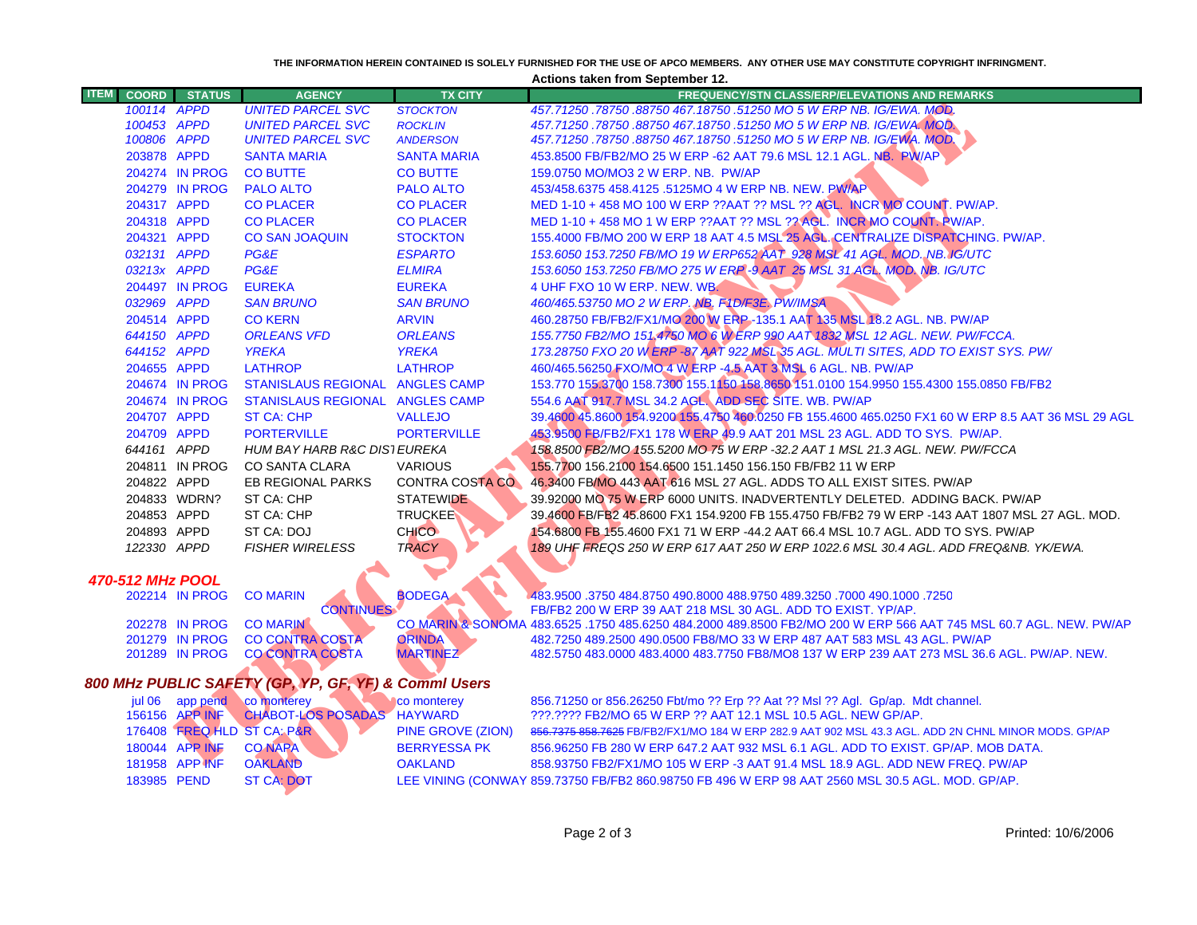|                                                      | THE INFORMATION HEREIN CONTAINED IS SOLELY FURNISHED FOR THE USE OF APCO MEMBERS. ANY OTHER USE MAY CONSTITUTE COPYRIGHT INFRINGMENT.<br><b>Actions taken from September 12.</b> |                                  |                                                  |                                  |                                                                                                                                                                         |  |
|------------------------------------------------------|----------------------------------------------------------------------------------------------------------------------------------------------------------------------------------|----------------------------------|--------------------------------------------------|----------------------------------|-------------------------------------------------------------------------------------------------------------------------------------------------------------------------|--|
| <b>ITEM</b>                                          | <b>COORD</b>                                                                                                                                                                     | <b>STATUS</b>                    | <b>AGENCY</b>                                    | <b>TX CITY</b>                   | <b>FREQUENCY/STN CLASS/ERP/ELEVATIONS AND REMARKS</b>                                                                                                                   |  |
|                                                      | 100114 APPD                                                                                                                                                                      |                                  | <b>UNITED PARCEL SVC</b>                         | <b>STOCKTON</b>                  | 457.71250.78750.88750.467.18750.51250 MO 5 W ERP NB. IG/EWA. MOD.                                                                                                       |  |
|                                                      | 100453 APPD                                                                                                                                                                      |                                  | <b>UNITED PARCEL SVC</b>                         | <b>ROCKLIN</b>                   | 457.71250.78750.88750 467.18750.51250 MO 5 W ERP NB. IG/EWA. MOD.                                                                                                       |  |
|                                                      | 100806 APPD                                                                                                                                                                      |                                  | <b>UNITED PARCEL SVC</b>                         | <b>ANDERSON</b>                  | 457.71250 .78750 .88750 467.18750 .51250 MO 5 W ERP NB. IG/EWA. MOD.                                                                                                    |  |
|                                                      | 203878 APPD                                                                                                                                                                      |                                  | <b>SANTA MARIA</b>                               | <b>SANTA MARIA</b>               | 453.8500 FB/FB2/MO 25 W ERP -62 AAT 79.6 MSL 12.1 AGL. NB. PW/AP                                                                                                        |  |
|                                                      |                                                                                                                                                                                  | 204274 IN PROG                   | <b>CO BUTTE</b>                                  | <b>CO BUTTE</b>                  | 159.0750 MO/MO3 2 W ERP. NB. PW/AP                                                                                                                                      |  |
|                                                      |                                                                                                                                                                                  | 204279 IN PROG                   | <b>PALO ALTO</b>                                 | <b>PALO ALTO</b>                 | 453/458.6375 458.4125 .5125MO 4 W ERP NB. NEW. PW/AP                                                                                                                    |  |
|                                                      | 204317 APPD                                                                                                                                                                      |                                  | <b>CO PLACER</b>                                 | <b>CO PLACER</b>                 | MED 1-10 + 458 MO 100 W ERP ??AAT ?? MSL ?? AGL. INCR MO COUNT. PW/AP.                                                                                                  |  |
|                                                      | 204318 APPD                                                                                                                                                                      |                                  | <b>CO PLACER</b>                                 | <b>CO PLACER</b>                 | MED 1-10 + 458 MO 1 W ERP ??AAT ?? MSL ?? AGL. INCR MO COUNT. RW/AP.                                                                                                    |  |
|                                                      | 204321 APPD                                                                                                                                                                      |                                  | <b>CO SAN JOAQUIN</b>                            | <b>STOCKTON</b>                  | 155.4000 FB/MO 200 W ERP 18 AAT 4.5 MSL 25 AGL. CENTRALIZE DISPATCHING. PW/AP.                                                                                          |  |
|                                                      | 032131 APPD                                                                                                                                                                      |                                  | PG&E                                             | <b>ESPARTO</b>                   | 153.6050 153.7250 FB/MO 19 W ERP652 AAT 928 MSL 41 AGL. MOD. NB. IG/UTC                                                                                                 |  |
|                                                      | 03213x APPD                                                                                                                                                                      |                                  | PG&E                                             | <b>ELMIRA</b>                    | 153.6050 153.7250 FB/MO 275 W ERP-9 AAT 25 MSL 31 AGL. MOD. NB. IG/UTC                                                                                                  |  |
|                                                      |                                                                                                                                                                                  | 204497 IN PROG                   | <b>EUREKA</b>                                    | <b>EUREKA</b>                    | 4 UHF FXO 10 W ERP. NEW. WB.                                                                                                                                            |  |
|                                                      | 032969 APPD                                                                                                                                                                      |                                  | <b>SAN BRUNO</b>                                 | <b>SAN BRUNO</b>                 | 460/465.53750 MO 2 W ERP. NB. F1D/F3E. PW/IMSA                                                                                                                          |  |
|                                                      | 204514 APPD                                                                                                                                                                      |                                  | <b>CO KERN</b>                                   | <b>ARVIN</b>                     | 460.28750 FB/FB2/FX1/MO 200 W ERP - 135.1 AAT 135 MSL 18.2 AGL. NB. PW/AP                                                                                               |  |
|                                                      | 644150 APPD                                                                                                                                                                      |                                  | <b>ORLEANS VFD</b>                               | <b>ORLEANS</b>                   | 155.7750 FB2/MO 151,4750 MO 6 W ERP 990 AAT 1832 MSL 12 AGL. NEW. PW/FCCA.                                                                                              |  |
|                                                      | 644152 APPD                                                                                                                                                                      |                                  | <b>YREKA</b>                                     | <b>YREKA</b>                     | 173.28750 FXO 20 W ERP -87 AAT 922 MSL 35 AGL. MULTI SITES, ADD TO EXIST SYS. PW/                                                                                       |  |
|                                                      | 204655 APPD                                                                                                                                                                      |                                  | <b>LATHROP</b>                                   | <b>LATHROP</b>                   | 460/465.56250 FXO/MO 4 W ERP -4.5 AAT 3 MSL 6 AGL. NB. PW/AP                                                                                                            |  |
|                                                      |                                                                                                                                                                                  | 204674 IN PROG                   | STANISLAUS REGIONAL ANGLES CAMP                  |                                  | 153.770 155.3700 158.7300 155.1150 158.8650 151.0100 154.9950 155.4300 155.0850 FB/FB2                                                                                  |  |
|                                                      |                                                                                                                                                                                  | 204674 IN PROG                   | STANISLAUS REGIONAL ANGLES CAMP                  |                                  | 554.6 AAT 917.7 MSL 34.2 AGL. ADD SEC SITE. WB. PW/AP                                                                                                                   |  |
|                                                      | 204707 APPD                                                                                                                                                                      |                                  | <b>ST CA: CHP</b>                                | <b>VALLEJO</b>                   | 39.4600 45.8600 154.9200 155.4750 460.0250 FB 155.4600 465.0250 FX1 60 W ERP 8.5 AAT 36 MSL 29 AGL                                                                      |  |
|                                                      | 204709 APPD                                                                                                                                                                      |                                  | <b>PORTERVILLE</b>                               | <b>PORTERVILLE</b>               | 453.9500 FB/FB2/FX1 178 W ERP 49.9 AAT 201 MSL 23 AGL. ADD TO SYS. PW/AP.                                                                                               |  |
|                                                      | 644161 APPD                                                                                                                                                                      |                                  | <b>HUM BAY HARB R&amp;C DIS1 EUREKA</b>          |                                  | 158.8500 FB2/MO 155.5200 MO 75 W ERP -32.2 AAT 1 MSL 21.3 AGL. NEW. PW/FCCA                                                                                             |  |
|                                                      |                                                                                                                                                                                  | 204811 IN PROG                   | <b>CO SANTA CLARA</b>                            | <b>VARIOUS</b>                   | 155.7700 156.2100 154.6500 151.1450 156.150 FB/FB2 11 W ERP                                                                                                             |  |
|                                                      | 204822 APPD                                                                                                                                                                      |                                  | EB REGIONAL PARKS                                | <b>CONTRA COSTA CO.</b>          | 46.3400 FB/MO 443 AAT 616 MSL 27 AGL. ADDS TO ALL EXIST SITES. PW/AP                                                                                                    |  |
|                                                      |                                                                                                                                                                                  | 204833 WDRN?                     | ST CA: CHP                                       | <b>STATEWIDE</b>                 | 39.92000 MO 75 W ERP 6000 UNITS. INADVERTENTLY DELETED. ADDING BACK. PW/AP                                                                                              |  |
|                                                      | 204853 APPD                                                                                                                                                                      |                                  | ST CA: CHP                                       | <b>TRUCKEE</b>                   | 39.4600 FB/FB2 45.8600 FX1 154.9200 FB 155.4750 FB/FB2 79 W ERP -143 AAT 1807 MSL 27 AGL. MOD.                                                                          |  |
|                                                      | 204893 APPD                                                                                                                                                                      |                                  | ST CA: DOJ                                       | CHICO-                           | 154.6800 FB 155.4600 FX1 71 W ERP -44.2 AAT 66.4 MSL 10.7 AGL. ADD TO SYS. PW/AP                                                                                        |  |
|                                                      | 122330 APPD                                                                                                                                                                      |                                  | <b>FISHER WIRELESS</b>                           | <b>TRACY</b>                     | 189 UHF FREQS 250 W ERP 617 AAT 250 W ERP 1022.6 MSL 30.4 AGL. ADD FREQ&NB. YK/EWA.                                                                                     |  |
|                                                      |                                                                                                                                                                                  |                                  |                                                  |                                  |                                                                                                                                                                         |  |
| <b>470-512 MHz POOL</b>                              |                                                                                                                                                                                  |                                  |                                                  |                                  |                                                                                                                                                                         |  |
|                                                      |                                                                                                                                                                                  | 202214 IN PROG                   | <b>CO MARIN</b>                                  | <b>BODEGA</b>                    | 483.9500 .3750 484.8750 490.8000 488.9750 489.3250 .7000 490.1000 .7250                                                                                                 |  |
|                                                      |                                                                                                                                                                                  |                                  | <b>CONTINUES</b>                                 |                                  | FB/FB2 200 W ERP 39 AAT 218 MSL 30 AGL. ADD TO EXIST. YP/AP.                                                                                                            |  |
|                                                      |                                                                                                                                                                                  | 202278 IN PROG                   | <b>CO MARIN</b>                                  |                                  | CO MARIN & SONOMA 483.6525 .1750 485.6250 484.2000 489.8500 FB2/MO 200 W ERP 566 AAT 745 MSL 60.7 AGL. NEW. PW/AP                                                       |  |
|                                                      |                                                                                                                                                                                  | 201279 IN PROG<br>201289 IN PROG | <b>CO CONTRA COSTA</b><br><b>CO CONTRA COSTA</b> | <b>ORINDA</b><br><b>MARTINEZ</b> | 482.7250 489.2500 490.0500 FB8/MO 33 W ERP 487 AAT 583 MSL 43 AGL. PW/AP<br>482.5750 483.0000 483.4000 483.7750 FB8/MO8 137 W ERP 239 AAT 273 MSL 36.6 AGL. PW/AP. NEW. |  |
|                                                      |                                                                                                                                                                                  |                                  |                                                  |                                  |                                                                                                                                                                         |  |
| 800 MHz PUBLIC SAFETY (GP, YP, GF, YF) & Commi Users |                                                                                                                                                                                  |                                  |                                                  |                                  |                                                                                                                                                                         |  |
|                                                      |                                                                                                                                                                                  | jul 06 app pend                  | <b>co</b> monterey                               | co monterey                      | 856.71250 or 856.26250 Fbt/mo ?? Erp ?? Aat ?? Msl ?? Agl. Gp/ap. Mdt channel.                                                                                          |  |
|                                                      |                                                                                                                                                                                  | 156156 APP INF                   | CHABOT-LOS POSADAS HAYWARD                       |                                  | ???.???? FB2/MO 65 W ERP ?? AAT 12.1 MSL 10.5 AGL. NEW GP/AP.                                                                                                           |  |
|                                                      |                                                                                                                                                                                  |                                  | 176408 FREQ HLD ST CA: P&R                       | PINE GROVE (ZION)                | 856.7375 858.7625 FB/FB2/FX1/MO 184 W ERP 282.9 AAT 902 MSL 43.3 AGL. ADD 2N CHNL MINOR MODS. GP/AP                                                                     |  |
|                                                      |                                                                                                                                                                                  | 180044 APP INF                   | <b>CO NAPA</b>                                   | <b>BERRYESSA PK</b>              | 856.96250 FB 280 W ERP 647.2 AAT 932 MSL 6.1 AGL. ADD TO EXIST. GP/AP. MOB DATA.                                                                                        |  |
|                                                      |                                                                                                                                                                                  | 181958 APP INF                   | <b>OAKLAND</b>                                   | <b>OAKLAND</b>                   | 858.93750 FB2/FX1/MO 105 W ERP -3 AAT 91.4 MSL 18.9 AGL. ADD NEW FREQ. PW/AP                                                                                            |  |
|                                                      | 183985 PEND                                                                                                                                                                      |                                  | <b>ST CA: DOT</b>                                |                                  | LEE VINING (CONWAY 859.73750 FB/FB2 860.98750 FB 496 W ERP 98 AAT 2560 MSL 30.5 AGL. MOD. GP/AP.                                                                        |  |
|                                                      |                                                                                                                                                                                  |                                  |                                                  |                                  |                                                                                                                                                                         |  |
|                                                      |                                                                                                                                                                                  |                                  |                                                  |                                  |                                                                                                                                                                         |  |
|                                                      |                                                                                                                                                                                  |                                  |                                                  |                                  |                                                                                                                                                                         |  |